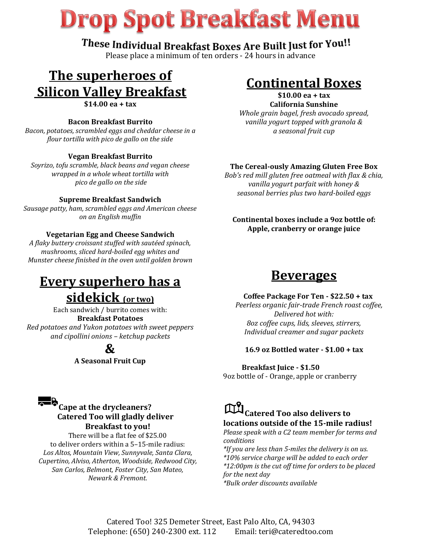# **Drop Spot Breakfast Menu**

### These Individual Breakfast Boxes Are Built Just for You!!

Please place a minimum of ten orders - 24 hours in advance

### **The superheroes of Silicon Valley Breakfast \$14.00 ea + tax**

### **Bacon Breakfast Burrito**

*Bacon, potatoes, scrambled eggs and cheddar cheese in a flour tortilla with pico de gallo on the side*

### **Vegan Breakfast Burrito**

*Soyrizo, tofu scramble, black beans and vegan cheese wrapped in a whole wheat tortilla with pico de gallo on the side*

#### **Supreme Breakfast Sandwich**

*Sausage patty, ham, scrambled eggs and American cheese on an English muffin*

### **Vegetarian Egg and Cheese Sandwich**

*A flaky buttery croissant stuffed with sautéed spinach, mushrooms, sliced hard-boiled egg whites and Munster cheese finished in the oven until golden brown*

## **Every superhero has a**

### **sidekick (or two)**

Each sandwich / burrito comes with: **Breakfast Potatoes** *Red potatoes and Yukon potatoes with sweet peppers*

*and cipollini onions – ketchup packets*

**&**

**A Seasonal Fruit Cup**

### **Continental Boxes**

#### **\$10.00 ea + tax California Sunshine**

*Whole grain bagel, fresh avocado spread, vanilla yogurt topped with granola & a seasonal fruit cup*

### **The Cereal-ously Amazing Gluten Free Box**

*Bob's red mill gluten free oatmeal with flax & chia, vanilla yogurt parfait with honey & seasonal berries plus two hard-boiled eggs*

### **Continental boxes include a 9oz bottle of: Apple, cranberry or orange juice**

### **Beverages**

#### **Coffee Package For Ten - \$22.50 + tax**

 *Peerless organic fair-trade French roast coffee, Delivered hot with: 8oz coffee cups, lids, sleeves, stirrers, Individual creamer and sugar packets*

#### **16.9 oz Bottled water - \$1.00 + tax**

 **Breakfast Juice - \$1.50** 9oz bottle of - Orange, apple or cranberry

### **Cape at the drycleaners? Catered Too will gladly deliver Breakfast to you!**

There will be a flat fee of \$25.00 to deliver orders within a 5–15-mile radius: *Los Altos, Mountain View, Sunnyvale, Santa Clara, Cupertino, Alviso, Atherton, Woodside, Redwood City, San Carlos, Belmont, Foster City, San Mateo, Newark & Fremont.*

**Catered Too also delivers to locations outside of the 15-mile radius!** 

*Please speak with a C2 team member for terms and conditions*

*\*If you are less than 5-miles the delivery is on us. \*10% service charge will be added to each order \*12:00pm is the cut off time for orders to be placed for the next day*

*\*Bulk order discounts available*